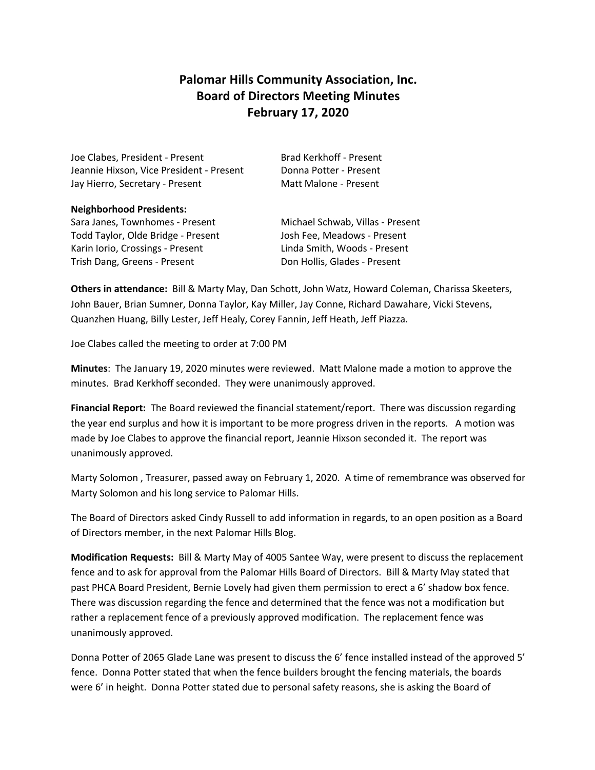# **Palomar Hills Community Association, Inc. Board of Directors Meeting Minutes February 17, 2020**

Joe Clabes, President - Present Brad Kerkhoff - Present Jeannie Hixson, Vice President - Present Donna Potter - Present Jay Hierro, Secretary - Present Matt Malone - Present

**Neighborhood Presidents:**

Sara Janes, Townhomes - Present Michael Schwab, Villas - Present Todd Taylor, Olde Bridge - Present Josh Fee, Meadows - Present Karin Iorio, Crossings - Present Linda Smith, Woods - Present Trish Dang, Greens - Present **Don Hollis**, Glades - Present

**Others in attendance:** Bill & Marty May, Dan Schott, John Watz, Howard Coleman, Charissa Skeeters, John Bauer, Brian Sumner, Donna Taylor, Kay Miller, Jay Conne, Richard Dawahare, Vicki Stevens, Quanzhen Huang, Billy Lester, Jeff Healy, Corey Fannin, Jeff Heath, Jeff Piazza.

Joe Clabes called the meeting to order at 7:00 PM

**Minutes**: The January 19, 2020 minutes were reviewed. Matt Malone made a motion to approve the minutes. Brad Kerkhoff seconded. They were unanimously approved.

**Financial Report:** The Board reviewed the financial statement/report. There was discussion regarding the year end surplus and how it is important to be more progress driven in the reports. A motion was made by Joe Clabes to approve the financial report, Jeannie Hixson seconded it. The report was unanimously approved.

Marty Solomon , Treasurer, passed away on February 1, 2020. A time of remembrance was observed for Marty Solomon and his long service to Palomar Hills.

The Board of Directors asked Cindy Russell to add information in regards, to an open position as a Board of Directors member, in the next Palomar Hills Blog.

**Modification Requests:** Bill & Marty May of 4005 Santee Way, were present to discuss the replacement fence and to ask for approval from the Palomar Hills Board of Directors. Bill & Marty May stated that past PHCA Board President, Bernie Lovely had given them permission to erect a 6' shadow box fence. There was discussion regarding the fence and determined that the fence was not a modification but rather a replacement fence of a previously approved modification. The replacement fence was unanimously approved.

Donna Potter of 2065 Glade Lane was present to discuss the 6' fence installed instead of the approved 5' fence. Donna Potter stated that when the fence builders brought the fencing materials, the boards were 6' in height. Donna Potter stated due to personal safety reasons, she is asking the Board of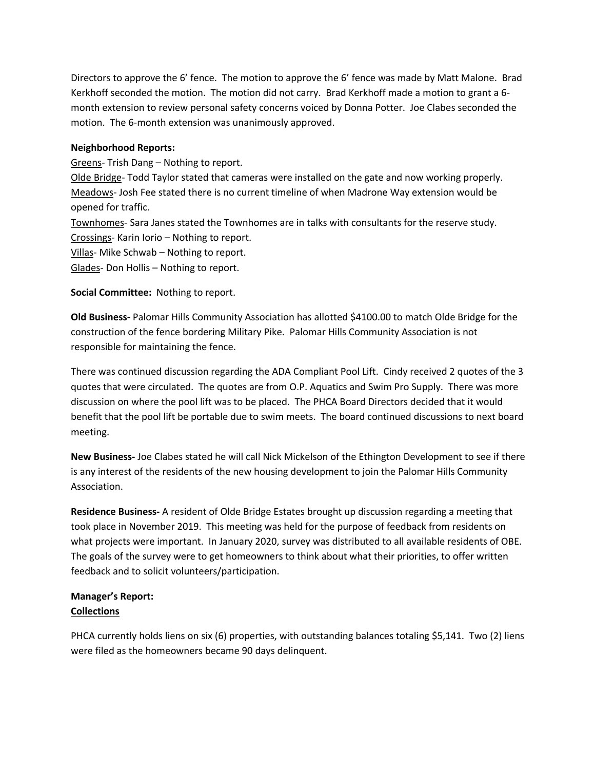Directors to approve the 6' fence. The motion to approve the 6' fence was made by Matt Malone. Brad Kerkhoff seconded the motion. The motion did not carry. Brad Kerkhoff made a motion to grant a 6 month extension to review personal safety concerns voiced by Donna Potter. Joe Clabes seconded the motion. The 6-month extension was unanimously approved.

### **Neighborhood Reports:**

Greens- Trish Dang – Nothing to report.

Olde Bridge- Todd Taylor stated that cameras were installed on the gate and now working properly. Meadows- Josh Fee stated there is no current timeline of when Madrone Way extension would be opened for traffic.

Townhomes- Sara Janes stated the Townhomes are in talks with consultants for the reserve study. Crossings- Karin Iorio – Nothing to report.

Villas- Mike Schwab – Nothing to report.

Glades- Don Hollis – Nothing to report.

**Social Committee:** Nothing to report.

**Old Business-** Palomar Hills Community Association has allotted \$4100.00 to match Olde Bridge for the construction of the fence bordering Military Pike. Palomar Hills Community Association is not responsible for maintaining the fence.

There was continued discussion regarding the ADA Compliant Pool Lift. Cindy received 2 quotes of the 3 quotes that were circulated. The quotes are from O.P. Aquatics and Swim Pro Supply. There was more discussion on where the pool lift was to be placed. The PHCA Board Directors decided that it would benefit that the pool lift be portable due to swim meets. The board continued discussions to next board meeting.

**New Business-** Joe Clabes stated he will call Nick Mickelson of the Ethington Development to see if there is any interest of the residents of the new housing development to join the Palomar Hills Community Association.

**Residence Business-** A resident of Olde Bridge Estates brought up discussion regarding a meeting that took place in November 2019. This meeting was held for the purpose of feedback from residents on what projects were important. In January 2020, survey was distributed to all available residents of OBE. The goals of the survey were to get homeowners to think about what their priorities, to offer written feedback and to solicit volunteers/participation.

## **Manager's Report: Collections**

PHCA currently holds liens on six (6) properties, with outstanding balances totaling \$5,141. Two (2) liens were filed as the homeowners became 90 days delinquent.